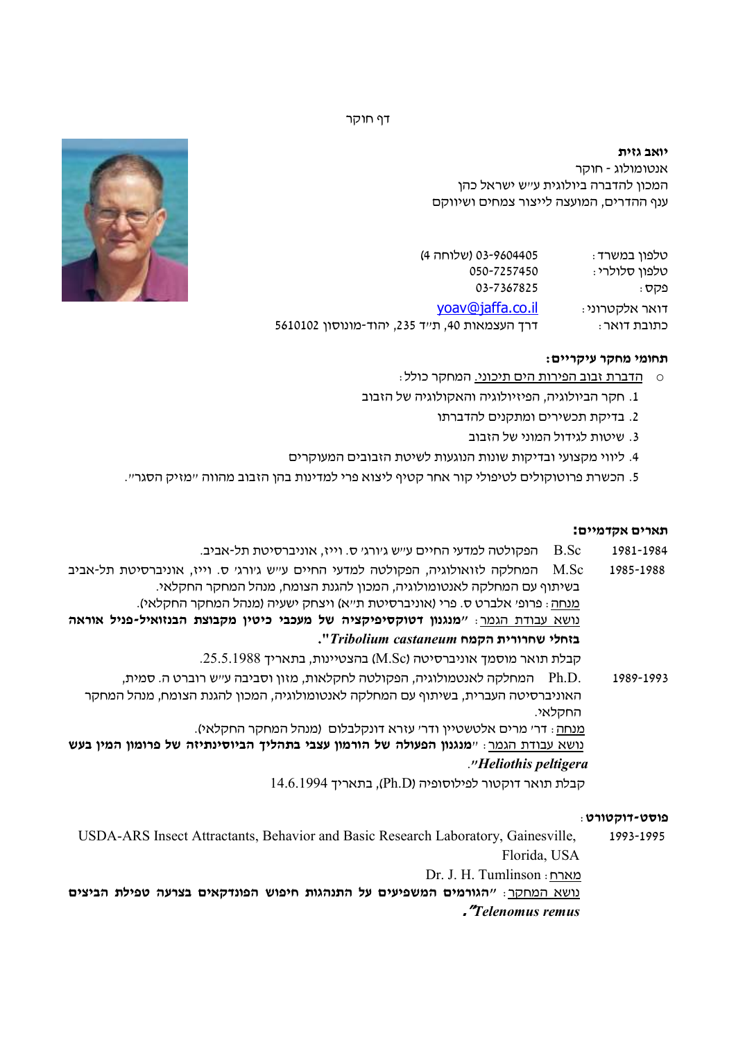דף חוקר

**יואב גזית** אנטומולוג - חוקר המכון להדברה ביולוגית ע"ש ישראל כהן ענף ההדרים, המועצה לייצור צמחים ושיווקם

טלפון במשרד: 03-9604405 (שלוחה )4 טלפון סלולרי : 050-7257450 פקס: 03-7367825 yoav@jaffa co. il. :אלקטרוני דואר כתובת דואר: **דרך העצמאות 40, ת**"ד 235, יהוד-מונוסון 5610102

## **תחומי מחקר עיקריים :**

- o הדברת זבוב הפירות הים תיכוני. המחקר כולל:
- 1. חקר הביולוגיה, הפיזיולוגיה והאקולוגיה של הזבוב
	- 2. בדיקת תכשירים ומתקנים להדברתו
		- 3. שיטות לגידול המוני של הזבוב
- 4. ליווי מקצועי ובדיקות שונות הנוגעות לשיטת הזבובים המעוקרים
- 5. הכשרת פרוטוקולים לטיפולי קור אחר קטיף ליצוא פרי למדינות בהן הזבוב מהווה "מזיק הסגר".

#### **תארים אקדמיים:**

1981-1984 - B.Sc. הפקולטה למדעי החיים ע״ש ג׳ורג׳ ס. וייז, אוניברסיטת תל-אביב.

1985-1988 המחלקה לזואולוגיה, הפקולטה למדעי החיים ע"ש ג'ורג' ס. וייז, אוניברסיטת תל-אביב M.Sc נדאביב בשיתוף עם המחלקה לאנטומולוגיה, המכון להגנת הצומח, מנהל המחקר החקלאי . מנחה: פרופ׳ אלברט ס. פרי (אוניברסיטת ת״א) ויצחק ישעיה (מנהל המחקר החקלאי). נושא עבודת הגמר: **"מנגנון דטוקסיפיקציה של מעכבי כיטין מקבוצת הבנזואיל-פניל אוראה בזחלי שחרורית הקמח** *castaneum Tribolium* **".**

קבלת תואר מוסמך אוניברסיטה (Sc.M (בהצטיינות, בתאריך 25.5.1988 .

1989-1993 .D.Ph המחלקה לאנטמולוגיה, הפקולטה לחקלאות, מזון וסביבה "ע ש רוברט ה. סמית , האוניברסיטה העברית, בשיתוף עם המחלקה לאנטומולוגיה, המכון להגנת הצומח, מנהל המחקר החקלאי .

מנחה: ' דר מרים אלטשטיין ודר' עזרא דונקלבלום (מנהל המחקר החקלאי ).

 נושא עבודת הגמר " : **מנגנון הפעולה של הורמון עצבי בתהליך הביוסינתיזה של פרומון המין בעש**  .**"***Heliothis peltigera*

קבלת תואר דוקטור לפילוסופיה (Ph.D), בתאריך 14.6.1994

#### **פוסט-דוקטורט** :

USDA-ARS Insect Attractants, Behavior and Basic Research Laboratory, Gainesville, 1993-1995 Florida, USA

Dr. J. H. Tumlinson :מארח

נושא המחקר: **" הגורמים המשפיעים על התנהגות חיפוש הפונדקאים בצרעה טפילת הביצים ."***Telenomus remus*

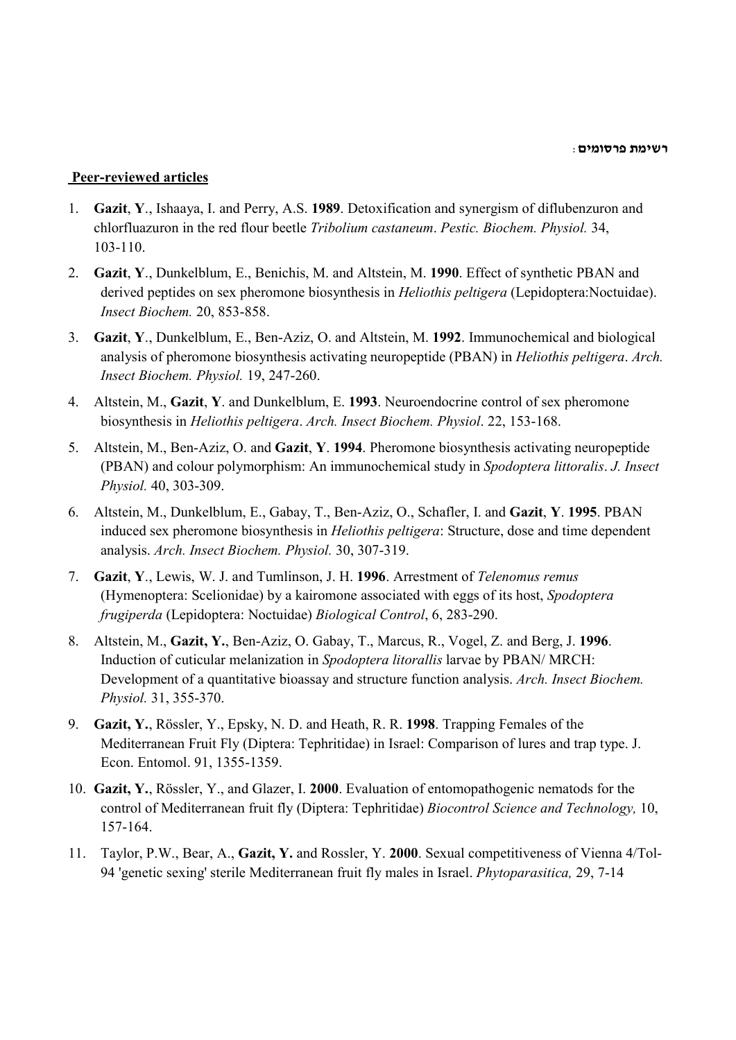**רשימת פרסומים**:

# **Peer-reviewed articles**

- 1. **Gazit**, **Y**., Ishaaya, I. and Perry, A.S. **1989**. Detoxification and synergism of diflubenzuron and chlorfluazuron in the red flour beetle *Tribolium castaneum*. *Pestic. Biochem. Physiol.* 34, 103-110.
- 2. **Gazit**, **Y**., Dunkelblum, E., Benichis, M. and Altstein, M. **1990**. Effect of synthetic PBAN and derived peptides on sex pheromone biosynthesis in *Heliothis peltigera* (Lepidoptera:Noctuidae). *Insect Biochem.* 20, 853-858.
- 3. **Gazit**, **Y**., Dunkelblum, E., Ben-Aziz, O. and Altstein, M. **1992**. Immunochemical and biological analysis of pheromone biosynthesis activating neuropeptide (PBAN) in *Heliothis peltigera*. *Arch. Insect Biochem. Physiol.* 19, 247-260.
- 4. Altstein, M., **Gazit**, **Y**. and Dunkelblum, E. **1993**. Neuroendocrine control of sex pheromone biosynthesis in *Heliothis peltigera*. *Arch. Insect Biochem. Physiol*. 22, 153-168.
- 5. Altstein, M., Ben-Aziz, O. and **Gazit**, **Y**. **1994**. Pheromone biosynthesis activating neuropeptide (PBAN) and colour polymorphism: An immunochemical study in *Spodoptera littoralis*. *J. Insect Physiol.* 40, 303-309.
- 6. Altstein, M., Dunkelblum, E., Gabay, T., Ben-Aziz, O., Schafler, I. and **Gazit**, **Y**. **1995**. PBAN induced sex pheromone biosynthesis in *Heliothis peltigera*: Structure, dose and time dependent analysis. *Arch. Insect Biochem. Physiol.* 30, 307-319.
- 7. **Gazit**, **Y**., Lewis, W. J. and Tumlinson, J. H. **1996**. Arrestment of *Telenomus remus* (Hymenoptera: Scelionidae) by a kairomone associated with eggs of its host, *Spodoptera frugiperda* (Lepidoptera: Noctuidae) *Biological Control*, 6, 283-290.
- 8. Altstein, M., **Gazit, Y.**, Ben-Aziz, O. Gabay, T., Marcus, R., Vogel, Z. and Berg, J. **1996**. Induction of cuticular melanization in *Spodoptera litorallis* larvae by PBAN/ MRCH: Development of a quantitative bioassay and structure function analysis. *Arch. Insect Biochem. Physiol.* 31, 355-370.
- 9. **Gazit, Y.**, Rössler, Y., Epsky, N. D. and Heath, R. R. **1998**. Trapping Females of the Mediterranean Fruit Fly (Diptera: Tephritidae) in Israel: Comparison of lures and trap type. J. Econ. Entomol. 91, 1355-1359.
- 10. **Gazit, Y.**, Rössler, Y., and Glazer, I. **2000**. Evaluation of entomopathogenic nematods for the control of Mediterranean fruit fly (Diptera: Tephritidae) *Biocontrol Science and Technology,* 10, 157-164.
- 11. Taylor, P.W., Bear, A., **Gazit, Y.** and Rossler, Y. **2000**. Sexual competitiveness of Vienna 4/Tol-94 'genetic sexing' sterile Mediterranean fruit fly males in Israel. *Phytoparasitica,* 29, 7-14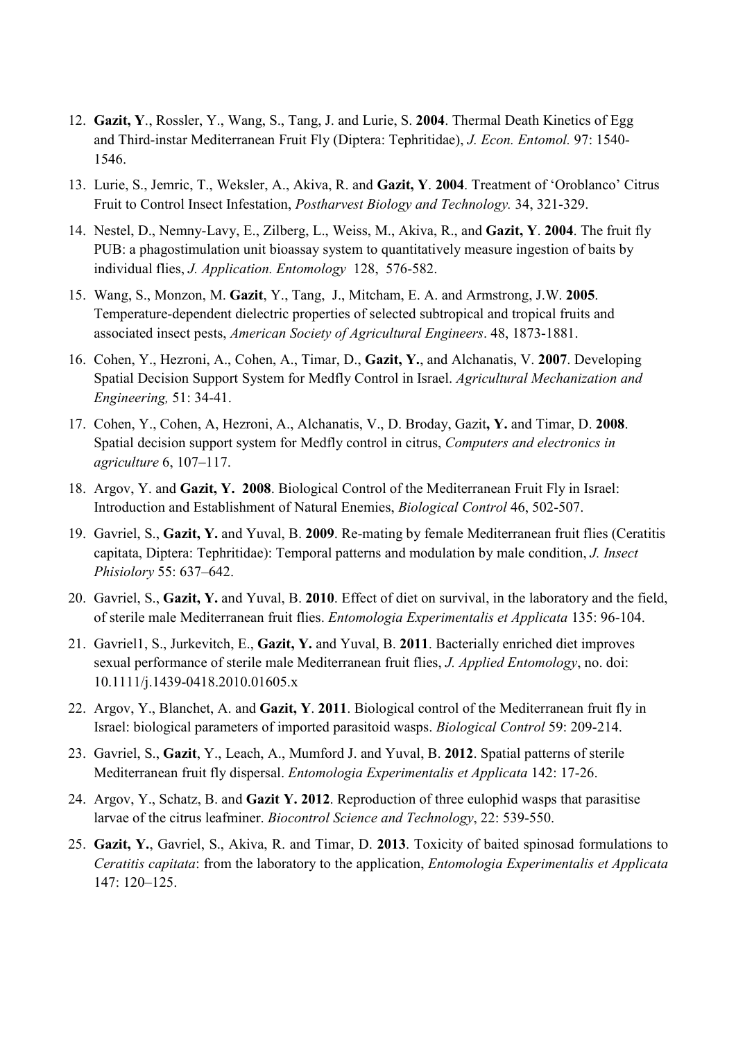- 12. **Gazit, Y**., Rossler, Y., Wang, S., Tang, J. and Lurie, S. **2004**. Thermal Death Kinetics of Egg and Third-instar Mediterranean Fruit Fly (Diptera: Tephritidae), *J. Econ. Entomol.* 97: 1540- 1546.
- 13. Lurie, S., Jemric, T., Weksler, A., Akiva, R. and **Gazit, Y**. **2004**. Treatment of 'Oroblanco' Citrus Fruit to Control Insect Infestation, *Postharvest Biology and Technology.* 34, 321-329.
- 14. Nestel, D., Nemny-Lavy, E., Zilberg, L., Weiss, M., Akiva, R., and **Gazit, Y**. **2004**. The fruit fly PUB: a phagostimulation unit bioassay system to quantitatively measure ingestion of baits by individual flies, *J. Application. Entomology* 128, 576-582.
- 15. Wang, S., Monzon, M. **Gazit**, Y., Tang, J., Mitcham, E. A. and Armstrong, J.W. **2005**. Temperature-dependent dielectric properties of selected subtropical and tropical fruits and associated insect pests, *American Society of Agricultural Engineers*. 48, 1873-1881.
- 16. Cohen, Y., Hezroni, A., Cohen, A., Timar, D., **Gazit, Y.**, and Alchanatis, V. **2007**. Developing Spatial Decision Support System for Medfly Control in Israel. *Agricultural Mechanization and Engineering,* 51: 34-41.
- 17. Cohen, Y., Cohen, A, Hezroni, A., Alchanatis, V., D. Broday, Gazit**, Y.** and Timar, D. **2008**. Spatial decision support system for Medfly control in citrus, *Computers and electronics in agriculture* 6, 107–117.
- 18. Argov, Y. and **Gazit, Y. 2008**. Biological Control of the Mediterranean Fruit Fly in Israel: Introduction and Establishment of Natural Enemies, *Biological Control* 46, 502-507.
- 19. Gavriel, S., **Gazit, Y.** and Yuval, B. **2009**. Re-mating by female Mediterranean fruit flies (Ceratitis capitata, Diptera: Tephritidae): Temporal patterns and modulation by male condition, *J. Insect Phisiolory* 55: 637–642.
- 20. Gavriel, S., **Gazit, Y.** and Yuval, B. **2010**. Effect of diet on survival, in the laboratory and the field, of sterile male Mediterranean fruit flies. *Entomologia Experimentalis et Applicata* 135: 96-104.
- 21. Gavriel1, S., Jurkevitch, E., **Gazit, Y.** and Yuval, B. **2011**. Bacterially enriched diet improves sexual performance of sterile male Mediterranean fruit flies, *J. Applied Entomology*, no. doi: 10.1111/j.1439-0418.2010.01605.x
- 22. Argov, Y., Blanchet, A. and **Gazit, Y**. **2011**. Biological control of the Mediterranean fruit fly in Israel: biological parameters of imported parasitoid wasps. *Biological Control* 59: 209-214.
- 23. Gavriel, S., **Gazit**, Y., Leach, A., Mumford J. and Yuval, B. **2012**. Spatial patterns of sterile Mediterranean fruit fly dispersal. *Entomologia Experimentalis et Applicata* 142: 17-26.
- 24. Argov, Y., Schatz, B. and **Gazit Y. 2012**. Reproduction of three eulophid wasps that parasitise larvae of the citrus leafminer. *Biocontrol Science and Technology*, 22: 539-550.
- 25. **Gazit, Y.**, Gavriel, S., Akiva, R. and Timar, D. **2013**. Toxicity of baited spinosad formulations to *Ceratitis capitata*: from the laboratory to the application, *Entomologia Experimentalis et Applicata* 147: 120–125.